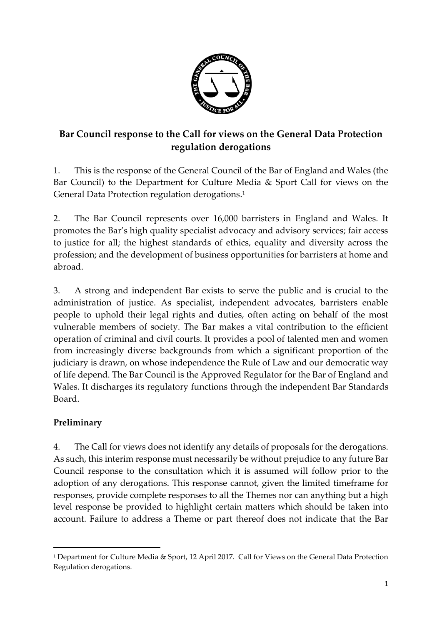

# **Bar Council response to the Call for views on the General Data Protection regulation derogations**

1. This is the response of the General Council of the Bar of England and Wales (the Bar Council) to the Department for Culture Media & Sport Call for views on the General Data Protection regulation derogations. 1

2. The Bar Council represents over 16,000 barristers in England and Wales. It promotes the Bar's high quality specialist advocacy and advisory services; fair access to justice for all; the highest standards of ethics, equality and diversity across the profession; and the development of business opportunities for barristers at home and abroad.

3. A strong and independent Bar exists to serve the public and is crucial to the administration of justice. As specialist, independent advocates, barristers enable people to uphold their legal rights and duties, often acting on behalf of the most vulnerable members of society. The Bar makes a vital contribution to the efficient operation of criminal and civil courts. It provides a pool of talented men and women from increasingly diverse backgrounds from which a significant proportion of the judiciary is drawn, on whose independence the Rule of Law and our democratic way of life depend. The Bar Council is the Approved Regulator for the Bar of England and Wales. It discharges its regulatory functions through the independent Bar Standards Board.

### **Preliminary**

1

4. The Call for views does not identify any details of proposals for the derogations. As such, this interim response must necessarily be without prejudice to any future Bar Council response to the consultation which it is assumed will follow prior to the adoption of any derogations. This response cannot, given the limited timeframe for responses, provide complete responses to all the Themes nor can anything but a high level response be provided to highlight certain matters which should be taken into account. Failure to address a Theme or part thereof does not indicate that the Bar

<sup>1</sup> Department for Culture Media & Sport, 12 April 2017. Call for Views on the General Data Protection Regulation derogations.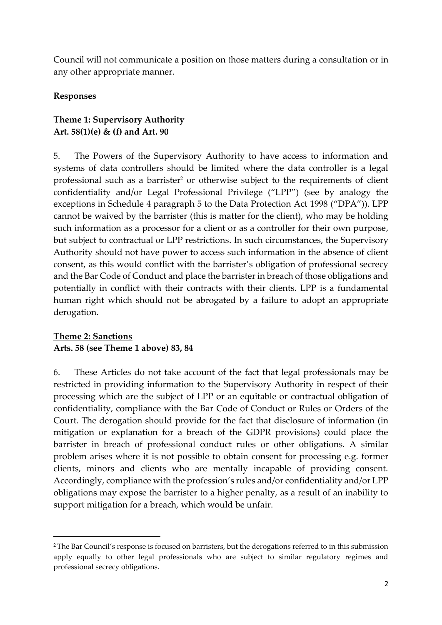Council will not communicate a position on those matters during a consultation or in any other appropriate manner.

#### **Responses**

#### **Theme 1: Supervisory Authority Art. 58(1)(e) & (f) and Art. 90**

5. The Powers of the Supervisory Authority to have access to information and systems of data controllers should be limited where the data controller is a legal professional such as a barrister<sup>2</sup> or otherwise subject to the requirements of client confidentiality and/or Legal Professional Privilege ("LPP") (see by analogy the exceptions in Schedule 4 paragraph 5 to the Data Protection Act 1998 ("DPA")). LPP cannot be waived by the barrister (this is matter for the client), who may be holding such information as a processor for a client or as a controller for their own purpose, but subject to contractual or LPP restrictions. In such circumstances, the Supervisory Authority should not have power to access such information in the absence of client consent, as this would conflict with the barrister's obligation of professional secrecy and the Bar Code of Conduct and place the barrister in breach of those obligations and potentially in conflict with their contracts with their clients. LPP is a fundamental human right which should not be abrogated by a failure to adopt an appropriate derogation.

#### **Theme 2: Sanctions Arts. 58 (see Theme 1 above) 83, 84**

**.** 

6. These Articles do not take account of the fact that legal professionals may be restricted in providing information to the Supervisory Authority in respect of their processing which are the subject of LPP or an equitable or contractual obligation of confidentiality, compliance with the Bar Code of Conduct or Rules or Orders of the Court. The derogation should provide for the fact that disclosure of information (in mitigation or explanation for a breach of the GDPR provisions) could place the barrister in breach of professional conduct rules or other obligations. A similar problem arises where it is not possible to obtain consent for processing e.g. former clients, minors and clients who are mentally incapable of providing consent. Accordingly, compliance with the profession's rules and/or confidentiality and/or LPP obligations may expose the barrister to a higher penalty, as a result of an inability to support mitigation for a breach, which would be unfair.

<sup>&</sup>lt;sup>2</sup> The Bar Council's response is focused on barristers, but the derogations referred to in this submission apply equally to other legal professionals who are subject to similar regulatory regimes and professional secrecy obligations.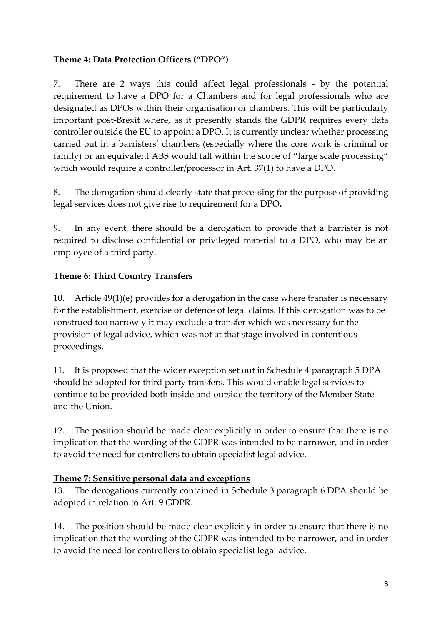#### **Theme 4: Data Protection Officers ("DPO")**

7. There are 2 ways this could affect legal professionals - by the potential requirement to have a DPO for a Chambers and for legal professionals who are designated as DPOs within their organisation or chambers. This will be particularly important post-Brexit where, as it presently stands the GDPR requires every data controller outside the EU to appoint a DPO. It is currently unclear whether processing carried out in a barristers' chambers (especially where the core work is criminal or family) or an equivalent ABS would fall within the scope of "large scale processing" which would require a controller/processor in Art. 37(1) to have a DPO.

8. The derogation should clearly state that processing for the purpose of providing legal services does not give rise to requirement for a DPO**.**

9. In any event, there should be a derogation to provide that a barrister is not required to disclose confidential or privileged material to a DPO, who may be an employee of a third party.

### **Theme 6: Third Country Transfers**

<span id="page-2-0"></span>10. Article 49(1)(e) provides for a derogation in the case where transfer is necessary for the establishment, exercise or defence of legal claims. If this derogation was to be construed too narrowly it may exclude a transfer which was necessary for the provision of legal advice, which was not at that stage involved in contentious proceedings.

11. It is proposed that the wider exception set out in Schedule 4 paragraph 5 DPA should be adopted for third party transfers. This would enable legal services to continue to be provided both inside and outside the territory of the Member State and the Union.

12. The position should be made clear explicitly in order to ensure that there is no implication that the wording of the GDPR was intended to be narrower, and in order to avoid the need for controllers to obtain specialist legal advice.

### **Theme 7: Sensitive personal data and exceptions**

13. The derogations currently contained in Schedule 3 paragraph 6 DPA should be adopted in relation to Art. 9 GDPR.

14. The position should be made clear explicitly in order to ensure that there is no implication that the wording of the GDPR was intended to be narrower, and in order to avoid the need for controllers to obtain specialist legal advice.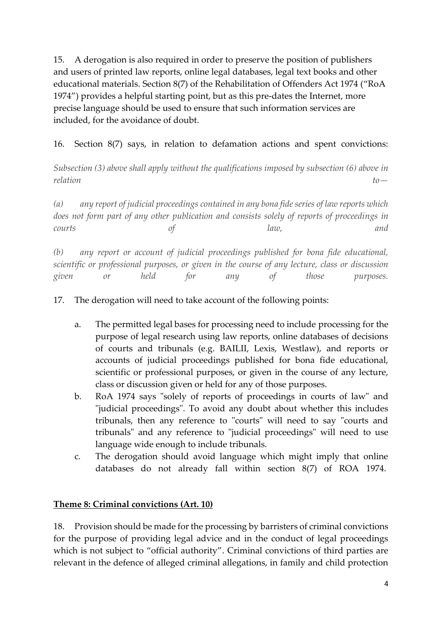15. A derogation is also required in order to preserve the position of publishers and users of printed law reports, online legal databases, legal text books and other educational materials. Section 8(7) of the Rehabilitation of Offenders Act 1974 ("RoA 1974") provides a helpful starting point, but as this pre-dates the Internet, more precise language should be used to ensure that such information services are included, for the avoidance of doubt.

16. Section 8(7) says, in relation to defamation actions and spent convictions:

*Subsection (3) above shall apply without the qualifications imposed by subsection (6) above in relation to—*

*(a) any report of judicial proceedings contained in any bona fide series of law reports which does not form part of any other publication and consists solely of reports of proceedings in courts of law, and*

*(b) any report or account of judicial proceedings published for bona fide educational, scientific or professional purposes, or given in the course of any lecture, class or discussion given or held for any of those purposes.*

17. The derogation will need to take account of the following points:

- a. The permitted legal bases for processing need to include processing for the purpose of legal research using law reports, online databases of decisions of courts and tribunals (e.g. BAILII, Lexis, Westlaw), and reports or accounts of judicial proceedings published for bona fide educational, scientific or professional purposes, or given in the course of any lecture, class or discussion given or held for any of those purposes.
- b. RoA 1974 says "solely of reports of proceedings in courts of law" and "judicial proceedings". To avoid any doubt about whether this includes tribunals, then any reference to "courts" will need to say "courts and tribunals" and any reference to "judicial proceedings" will need to use language wide enough to include tribunals.
- c. The derogation should avoid language which might imply that online databases do not already fall within section 8(7) of ROA 1974.

### **Theme 8: Criminal convictions (Art. 10)**

18. Provision should be made for the processing by barristers of criminal convictions for the purpose of providing legal advice and in the conduct of legal proceedings which is not subject to "official authority". Criminal convictions of third parties are relevant in the defence of alleged criminal allegations, in family and child protection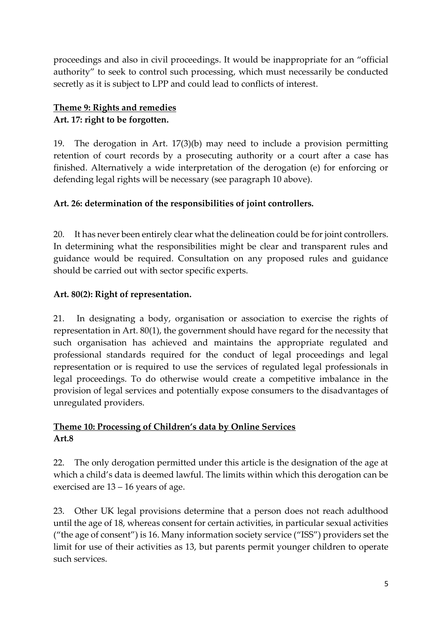proceedings and also in civil proceedings. It would be inappropriate for an "official authority" to seek to control such processing, which must necessarily be conducted secretly as it is subject to LPP and could lead to conflicts of interest.

# **Theme 9: Rights and remedies Art. 17: right to be forgotten.**

19. The derogation in Art. 17(3)(b) may need to include a provision permitting retention of court records by a prosecuting authority or a court after a case has finished. Alternatively a wide interpretation of the derogation (e) for enforcing or defending legal rights will be necessary (see paragraph [10](#page-2-0) above).

# **Art. 26: determination of the responsibilities of joint controllers.**

20. It has never been entirely clear what the delineation could be for joint controllers. In determining what the responsibilities might be clear and transparent rules and guidance would be required. Consultation on any proposed rules and guidance should be carried out with sector specific experts.

# **Art. 80(2): Right of representation.**

21. In designating a body, organisation or association to exercise the rights of representation in Art. 80(1), the government should have regard for the necessity that such organisation has achieved and maintains the appropriate regulated and professional standards required for the conduct of legal proceedings and legal representation or is required to use the services of regulated legal professionals in legal proceedings. To do otherwise would create a competitive imbalance in the provision of legal services and potentially expose consumers to the disadvantages of unregulated providers.

### **Theme 10: Processing of Children's data by Online Services Art.8**

22. The only derogation permitted under this article is the designation of the age at which a child's data is deemed lawful. The limits within which this derogation can be exercised are 13 – 16 years of age.

23. Other UK legal provisions determine that a person does not reach adulthood until the age of 18, whereas consent for certain activities, in particular sexual activities ("the age of consent") is 16. Many information society service ("ISS") providers set the limit for use of their activities as 13, but parents permit younger children to operate such services.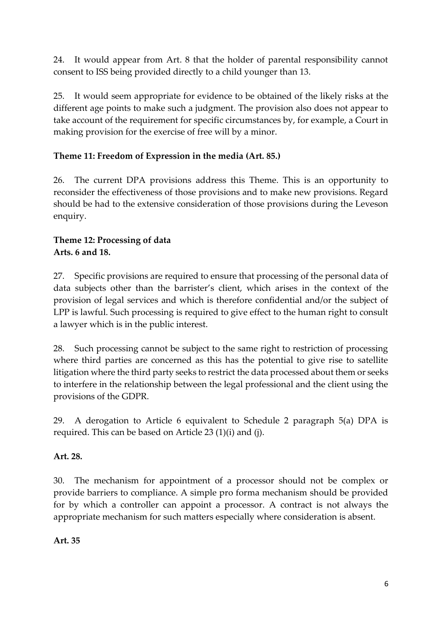24. It would appear from Art. 8 that the holder of parental responsibility cannot consent to ISS being provided directly to a child younger than 13.

25. It would seem appropriate for evidence to be obtained of the likely risks at the different age points to make such a judgment. The provision also does not appear to take account of the requirement for specific circumstances by, for example, a Court in making provision for the exercise of free will by a minor.

# **Theme 11: Freedom of Expression in the media (Art. 85.)**

26. The current DPA provisions address this Theme. This is an opportunity to reconsider the effectiveness of those provisions and to make new provisions. Regard should be had to the extensive consideration of those provisions during the Leveson enquiry.

#### **Theme 12: Processing of data Arts. 6 and 18.**

27. Specific provisions are required to ensure that processing of the personal data of data subjects other than the barrister's client, which arises in the context of the provision of legal services and which is therefore confidential and/or the subject of LPP is lawful. Such processing is required to give effect to the human right to consult a lawyer which is in the public interest.

28. Such processing cannot be subject to the same right to restriction of processing where third parties are concerned as this has the potential to give rise to satellite litigation where the third party seeks to restrict the data processed about them or seeks to interfere in the relationship between the legal professional and the client using the provisions of the GDPR.

29. A derogation to Article 6 equivalent to Schedule 2 paragraph 5(a) DPA is required. This can be based on Article 23 (1)(i) and (j).

### **Art. 28.**

30. The mechanism for appointment of a processor should not be complex or provide barriers to compliance. A simple pro forma mechanism should be provided for by which a controller can appoint a processor. A contract is not always the appropriate mechanism for such matters especially where consideration is absent.

**Art. 35**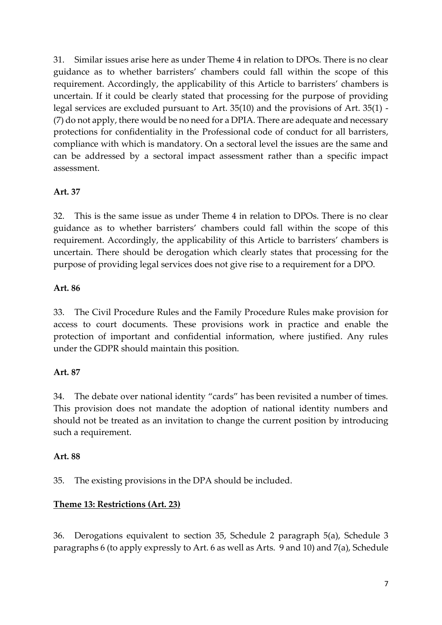31. Similar issues arise here as under Theme 4 in relation to DPOs. There is no clear guidance as to whether barristers' chambers could fall within the scope of this requirement. Accordingly, the applicability of this Article to barristers' chambers is uncertain. If it could be clearly stated that processing for the purpose of providing legal services are excluded pursuant to Art. 35(10) and the provisions of Art. 35(1) - (7) do not apply, there would be no need for a DPIA. There are adequate and necessary protections for confidentiality in the Professional code of conduct for all barristers, compliance with which is mandatory. On a sectoral level the issues are the same and can be addressed by a sectoral impact assessment rather than a specific impact assessment.

#### **Art. 37**

32. This is the same issue as under Theme 4 in relation to DPOs. There is no clear guidance as to whether barristers' chambers could fall within the scope of this requirement. Accordingly, the applicability of this Article to barristers' chambers is uncertain. There should be derogation which clearly states that processing for the purpose of providing legal services does not give rise to a requirement for a DPO.

### **Art. 86**

33. The Civil Procedure Rules and the Family Procedure Rules make provision for access to court documents. These provisions work in practice and enable the protection of important and confidential information, where justified. Any rules under the GDPR should maintain this position.

### **Art. 87**

34. The debate over national identity "cards" has been revisited a number of times. This provision does not mandate the adoption of national identity numbers and should not be treated as an invitation to change the current position by introducing such a requirement.

### **Art. 88**

35. The existing provisions in the DPA should be included.

# **Theme 13: Restrictions (Art. 23)**

36. Derogations equivalent to section 35, Schedule 2 paragraph 5(a), Schedule 3 paragraphs 6 (to apply expressly to Art. 6 as well as Arts. 9 and 10) and 7(a), Schedule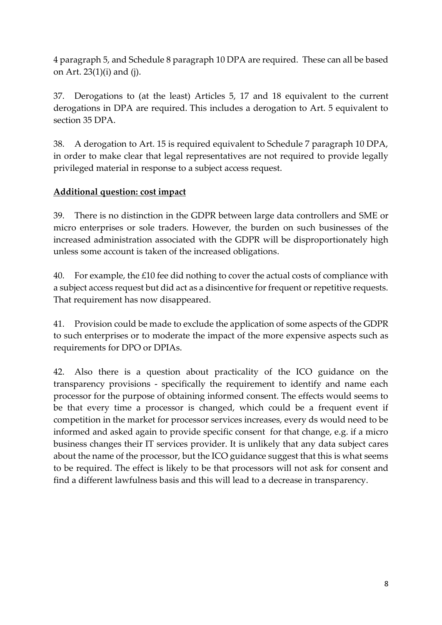4 paragraph 5, and Schedule 8 paragraph 10 DPA are required. These can all be based on Art. 23(1)(i) and (j).

37. Derogations to (at the least) Articles 5, 17 and 18 equivalent to the current derogations in DPA are required. This includes a derogation to Art. 5 equivalent to section 35 DPA.

38. A derogation to Art. 15 is required equivalent to Schedule 7 paragraph 10 DPA, in order to make clear that legal representatives are not required to provide legally privileged material in response to a subject access request.

### **Additional question: cost impact**

39. There is no distinction in the GDPR between large data controllers and SME or micro enterprises or sole traders. However, the burden on such businesses of the increased administration associated with the GDPR will be disproportionately high unless some account is taken of the increased obligations.

40. For example, the £10 fee did nothing to cover the actual costs of compliance with a subject access request but did act as a disincentive for frequent or repetitive requests. That requirement has now disappeared.

41. Provision could be made to exclude the application of some aspects of the GDPR to such enterprises or to moderate the impact of the more expensive aspects such as requirements for DPO or DPIAs.

42. Also there is a question about practicality of the ICO guidance on the transparency provisions - specifically the requirement to identify and name each processor for the purpose of obtaining informed consent. The effects would seems to be that every time a processor is changed, which could be a frequent event if competition in the market for processor services increases, every ds would need to be informed and asked again to provide specific consent for that change, e.g. if a micro business changes their IT services provider. It is unlikely that any data subject cares about the name of the processor, but the ICO guidance suggest that this is what seems to be required. The effect is likely to be that processors will not ask for consent and find a different lawfulness basis and this will lead to a decrease in transparency.